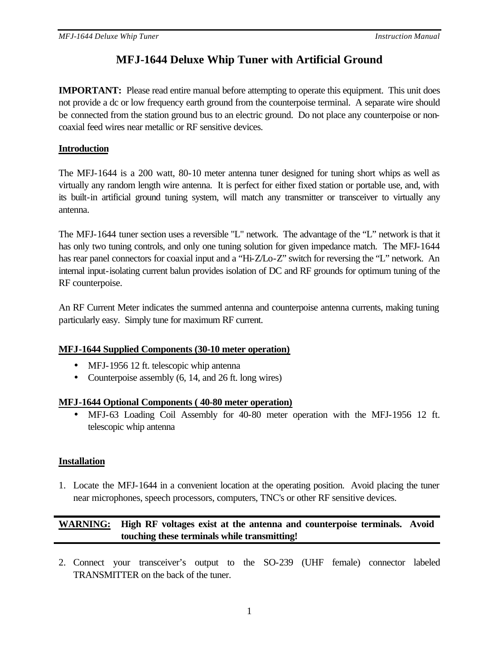# **MFJ-1644 Deluxe Whip Tuner with Artificial Ground**

**IMPORTANT:** Please read entire manual before attempting to operate this equipment. This unit does not provide a dc or low frequency earth ground from the counterpoise terminal. A separate wire should be connected from the station ground bus to an electric ground. Do not place any counterpoise or noncoaxial feed wires near metallic or RF sensitive devices.

# **Introduction**

The MFJ-1644 is a 200 watt, 80-10 meter antenna tuner designed for tuning short whips as well as virtually any random length wire antenna. It is perfect for either fixed station or portable use, and, with its built-in artificial ground tuning system, will match any transmitter or transceiver to virtually any antenna.

The MFJ-1644 tuner section uses a reversible "L" network. The advantage of the "L" network is that it has only two tuning controls, and only one tuning solution for given impedance match. The MFJ-1644 has rear panel connectors for coaxial input and a "Hi-Z/Lo-Z" switch for reversing the "L" network. An internal input-isolating current balun provides isolation of DC and RF grounds for optimum tuning of the RF counterpoise.

An RF Current Meter indicates the summed antenna and counterpoise antenna currents, making tuning particularly easy. Simply tune for maximum RF current.

## **MFJ-1644 Supplied Components (30-10 meter operation)**

- MFJ-1956 12 ft. telescopic whip antenna
- Counterpoise assembly (6, 14, and 26 ft. long wires)

## **MFJ-1644 Optional Components ( 40-80 meter operation)**

• MFJ-63 Loading Coil Assembly for 40-80 meter operation with the MFJ-1956 12 ft. telescopic whip antenna

# **Installation**

1. Locate the MFJ-1644 in a convenient location at the operating position. Avoid placing the tuner near microphones, speech processors, computers, TNC's or other RF sensitive devices.

# **WARNING: High RF voltages exist at the antenna and counterpoise terminals. Avoid touching these terminals while transmitting!**

2. Connect your transceiver's output to the SO-239 (UHF female) connector labeled TRANSMITTER on the back of the tuner.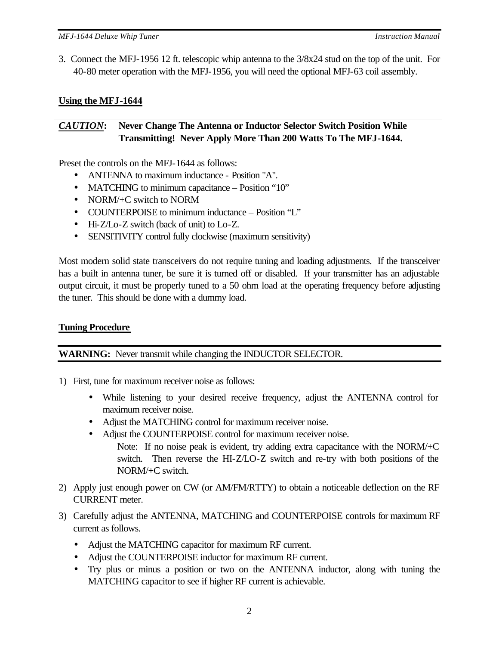3. Connect the MFJ-1956 12 ft. telescopic whip antenna to the 3/8x24 stud on the top of the unit. For 40-80 meter operation with the MFJ-1956, you will need the optional MFJ-63 coil assembly.

# **Using the MFJ-1644**

# *CAUTION***: Never Change The Antenna or Inductor Selector Switch Position While Transmitting! Never Apply More Than 200 Watts To The MFJ-1644.**

Preset the controls on the MFJ-1644 as follows:

- ANTENNA to maximum inductance Position "A".
- MATCHING to minimum capacitance Position "10"
- NORM/+C switch to NORM
- COUNTERPOISE to minimum inductance Position "L"
- Hi-Z/Lo-Z switch (back of unit) to Lo-Z.
- SENSITIVITY control fully clockwise (maximum sensitivity)

Most modern solid state transceivers do not require tuning and loading adjustments. If the transceiver has a built in antenna tuner, be sure it is turned off or disabled. If your transmitter has an adjustable output circuit, it must be properly tuned to a 50 ohm load at the operating frequency before adjusting the tuner. This should be done with a dummy load.

# **Tuning Procedure**

**WARNING:** Never transmit while changing the INDUCTOR SELECTOR.

- 1) First, tune for maximum receiver noise as follows:
	- While listening to your desired receive frequency, adjust the ANTENNA control for maximum receiver noise.
	- Adjust the MATCHING control for maximum receiver noise.
	- Adjust the COUNTERPOISE control for maximum receiver noise. Note: If no noise peak is evident, try adding extra capacitance with the NORM/+C switch. Then reverse the HI-Z/LO-Z switch and re-try with both positions of the NORM/+C switch.
- 2) Apply just enough power on CW (or AM/FM/RTTY) to obtain a noticeable deflection on the RF CURRENT meter.
- 3) Carefully adjust the ANTENNA, MATCHING and COUNTERPOISE controls for maximum RF current as follows.
	- Adjust the MATCHING capacitor for maximum RF current.
	- Adjust the COUNTERPOISE inductor for maximum RF current.
	- Try plus or minus a position or two on the ANTENNA inductor, along with tuning the MATCHING capacitor to see if higher RF current is achievable.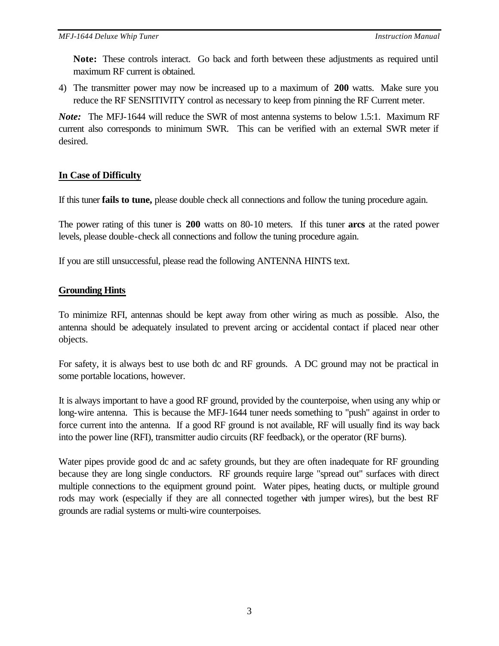**Note:** These controls interact. Go back and forth between these adjustments as required until maximum RF current is obtained.

4) The transmitter power may now be increased up to a maximum of **200** watts. Make sure you reduce the RF SENSITIVITY control as necessary to keep from pinning the RF Current meter.

*Note:* The MFJ-1644 will reduce the SWR of most antenna systems to below 1.5:1. Maximum RF current also corresponds to minimum SWR. This can be verified with an external SWR meter if desired.

## **In Case of Difficulty**

If this tuner **fails to tune,** please double check all connections and follow the tuning procedure again.

The power rating of this tuner is **200** watts on 80-10 meters. If this tuner **arcs** at the rated power levels, please double-check all connections and follow the tuning procedure again.

If you are still unsuccessful, please read the following ANTENNA HINTS text.

# **Grounding Hints**

To minimize RFI, antennas should be kept away from other wiring as much as possible. Also, the antenna should be adequately insulated to prevent arcing or accidental contact if placed near other objects.

For safety, it is always best to use both dc and RF grounds. A DC ground may not be practical in some portable locations, however.

It is always important to have a good RF ground, provided by the counterpoise, when using any whip or long-wire antenna. This is because the MFJ-1644 tuner needs something to "push" against in order to force current into the antenna. If a good RF ground is not available, RF will usually find its way back into the power line (RFI), transmitter audio circuits (RF feedback), or the operator (RF burns).

Water pipes provide good dc and ac safety grounds, but they are often inadequate for RF grounding because they are long single conductors. RF grounds require large "spread out" surfaces with direct multiple connections to the equipment ground point. Water pipes, heating ducts, or multiple ground rods may work (especially if they are all connected together with jumper wires), but the best RF grounds are radial systems or multi-wire counterpoises.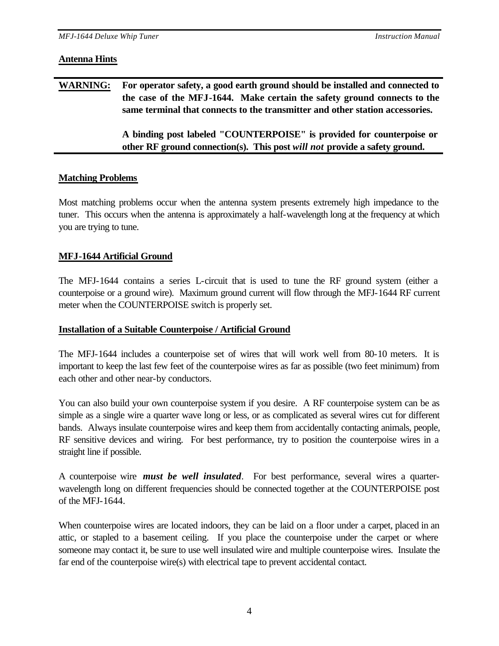#### **Antenna Hints**

| <b>WARNING:</b> | For operator safety, a good earth ground should be installed and connected to<br>the case of the MFJ-1644. Make certain the safety ground connects to the<br>same terminal that connects to the transmitter and other station accessories. |
|-----------------|--------------------------------------------------------------------------------------------------------------------------------------------------------------------------------------------------------------------------------------------|
|                 | A binding post labeled "COUNTERPOISE" is provided for counterpoise or<br>other RF ground connection(s). This post will not provide a safety ground.                                                                                        |

#### **Matching Problems**

Most matching problems occur when the antenna system presents extremely high impedance to the tuner. This occurs when the antenna is approximately a half-wavelength long at the frequency at which you are trying to tune.

## **MFJ-1644 Artificial Ground**

The MFJ-1644 contains a series L-circuit that is used to tune the RF ground system (either a counterpoise or a ground wire). Maximum ground current will flow through the MFJ-1644 RF current meter when the COUNTERPOISE switch is properly set.

## **Installation of a Suitable Counterpoise / Artificial Ground**

The MFJ-1644 includes a counterpoise set of wires that will work well from 80-10 meters. It is important to keep the last few feet of the counterpoise wires as far as possible (two feet minimum) from each other and other near-by conductors.

You can also build your own counterpoise system if you desire. A RF counterpoise system can be as simple as a single wire a quarter wave long or less, or as complicated as several wires cut for different bands. Always insulate counterpoise wires and keep them from accidentally contacting animals, people, RF sensitive devices and wiring. For best performance, try to position the counterpoise wires in a straight line if possible.

A counterpoise wire *must be well insulated*. For best performance, several wires a quarterwavelength long on different frequencies should be connected together at the COUNTERPOISE post of the MFJ-1644.

When counterpoise wires are located indoors, they can be laid on a floor under a carpet, placed in an attic, or stapled to a basement ceiling. If you place the counterpoise under the carpet or where someone may contact it, be sure to use well insulated wire and multiple counterpoise wires. Insulate the far end of the counterpoise wire(s) with electrical tape to prevent accidental contact.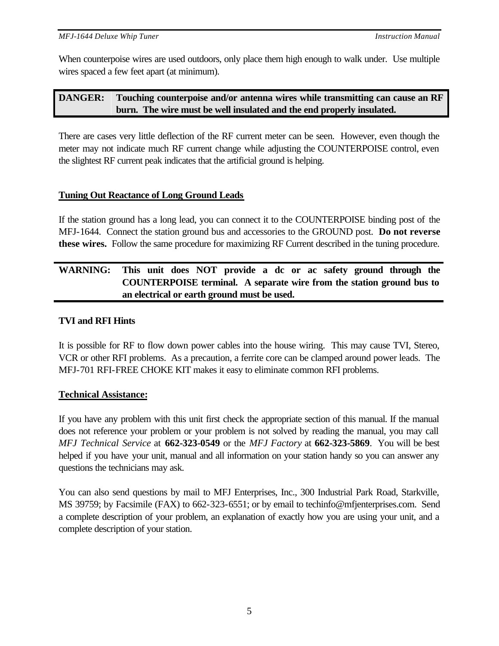When counterpoise wires are used outdoors, only place them high enough to walk under. Use multiple wires spaced a few feet apart (at minimum).

# **DANGER: Touching counterpoise and/or antenna wires while transmitting can cause an RF burn. The wire must be well insulated and the end properly insulated.**

There are cases very little deflection of the RF current meter can be seen. However, even though the meter may not indicate much RF current change while adjusting the COUNTERPOISE control, even the slightest RF current peak indicates that the artificial ground is helping.

# **Tuning Out Reactance of Long Ground Leads**

If the station ground has a long lead, you can connect it to the COUNTERPOISE binding post of the MFJ-1644. Connect the station ground bus and accessories to the GROUND post. **Do not reverse these wires.** Follow the same procedure for maximizing RF Current described in the tuning procedure.

# **WARNING: This unit does NOT provide a dc or ac safety ground through the COUNTERPOISE terminal. A separate wire from the station ground bus to an electrical or earth ground must be used.**

# **TVI and RFI Hints**

It is possible for RF to flow down power cables into the house wiring. This may cause TVI, Stereo, VCR or other RFI problems. As a precaution, a ferrite core can be clamped around power leads. The MFJ-701 RFI-FREE CHOKE KIT makes it easy to eliminate common RFI problems.

## **Technical Assistance:**

If you have any problem with this unit first check the appropriate section of this manual. If the manual does not reference your problem or your problem is not solved by reading the manual, you may call *MFJ Technical Service* at **662-323-0549** or the *MFJ Factory* at **662-323-5869**. You will be best helped if you have your unit, manual and all information on your station handy so you can answer any questions the technicians may ask.

You can also send questions by mail to MFJ Enterprises, Inc., 300 Industrial Park Road, Starkville, MS 39759; by Facsimile (FAX) to 662-323-6551; or by email to techinfo@mfjenterprises.com. Send a complete description of your problem, an explanation of exactly how you are using your unit, and a complete description of your station.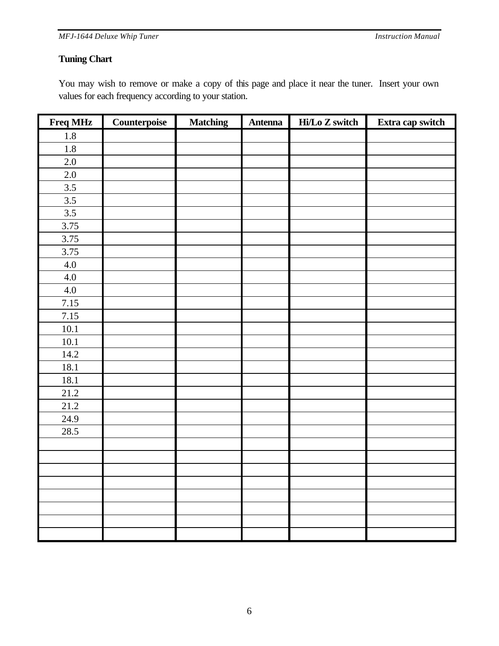*MFJ-1644 Deluxe Whip Tuner Instruction Manual*

## **Tuning Chart**

You may wish to remove or make a copy of this page and place it near the tuner. Insert your own values for each frequency according to your station.

| Freq MHz          | Counterpoise | <b>Matching</b> | <b>Antenna</b> | Hi/Lo Z switch | Extra cap switch |
|-------------------|--------------|-----------------|----------------|----------------|------------------|
| $1.8\,$           |              |                 |                |                |                  |
| 1.8               |              |                 |                |                |                  |
| $2.0\,$           |              |                 |                |                |                  |
| $2.0\,$           |              |                 |                |                |                  |
| 3.5               |              |                 |                |                |                  |
| 3.5               |              |                 |                |                |                  |
| 3.5               |              |                 |                |                |                  |
| 3.75              |              |                 |                |                |                  |
| 3.75              |              |                 |                |                |                  |
| 3.75              |              |                 |                |                |                  |
| $4.0\,$           |              |                 |                |                |                  |
| 4.0               |              |                 |                |                |                  |
| $4.0\,$           |              |                 |                |                |                  |
| 7.15              |              |                 |                |                |                  |
| 7.15              |              |                 |                |                |                  |
| $10.1\,$          |              |                 |                |                |                  |
| 10.1              |              |                 |                |                |                  |
| 14.2              |              |                 |                |                |                  |
| 18.1              |              |                 |                |                |                  |
| 18.1              |              |                 |                |                |                  |
| $\overline{21.2}$ |              |                 |                |                |                  |
| 21.2              |              |                 |                |                |                  |
| 24.9              |              |                 |                |                |                  |
| 28.5              |              |                 |                |                |                  |
|                   |              |                 |                |                |                  |
|                   |              |                 |                |                |                  |
|                   |              |                 |                |                |                  |
|                   |              |                 |                |                |                  |
|                   |              |                 |                |                |                  |
|                   |              |                 |                |                |                  |
|                   |              |                 |                |                |                  |
|                   |              |                 |                |                |                  |